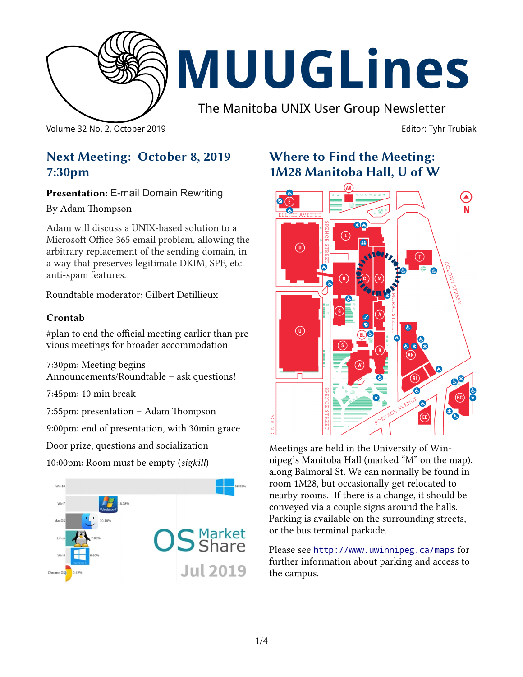

**MUUGLines**

The Manitoba UNIX User Group Newsletter

Volume 32 No. 2, October 2019 Editor: Tyhr Trubiak

# **Next Meeting: October 8, 2019 7:30pm**

**Presentation: E-mail Domain Rewriting** 

#### By Adam Thompson

Adam will discuss a UNIX-based solution to a Microsoft Office 365 email problem, allowing the arbitrary replacement of the sending domain, in a way that preserves legitimate DKIM, SPF, etc. anti-spam features.

Roundtable moderator: Gilbert Detillieux

### **Crontab**

#plan to end the official meeting earlier than previous meetings for broader accommodation

7:30pm: Meeting begins Announcements/Roundtable – ask questions!

7:45pm: 10 min break

7:55pm: presentation – Adam Thompson

9:00pm: end of presentation, with 30min grace

Door prize, questions and socialization

10:00pm: Room must be empty (*sigkill*)



# **Where to Find the Meeting: 1M28 Manitoba Hall, U of W**



Meetings are held in the University of Winnipeg's Manitoba Hall (marked "M" on the map), along Balmoral St. We can normally be found in room 1M28, but occasionally get relocated to nearby rooms. If there is a change, it should be conveyed via a couple signs around the halls. Parking is available on the surrounding streets, or the bus terminal parkade.

Please see <http://www.uwinnipeg.ca/maps> for further information about parking and access to the campus.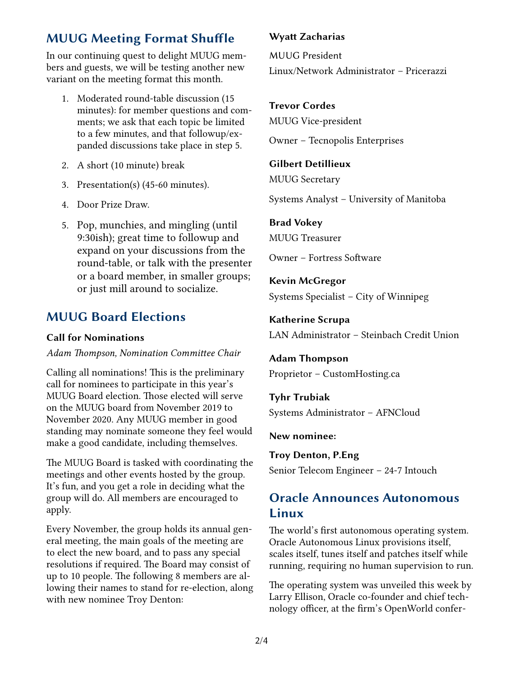# **MUUG Meeting Format Shuffle**

In our continuing quest to delight MUUG members and guests, we will be testing another new variant on the meeting format this month.

- 1. Moderated round-table discussion (15 minutes): for member questions and comments; we ask that each topic be limited to a few minutes, and that followup/expanded discussions take place in step 5.
- 2. A short (10 minute) break
- 3. Presentation(s) (45-60 minutes).
- 4. Door Prize Draw.
- 5. Pop, munchies, and mingling (until 9:30ish); great time to followup and expand on your discussions from the round-table, or talk with the presenter or a board member, in smaller groups; or just mill around to socialize.

# **MUUG Board Elections**

#### **Call for Nominations**

#### *Adam Thompson, Nomination Committee Chair*

Calling all nominations! This is the preliminary call for nominees to participate in this year's MUUG Board election. Those elected will serve on the MUUG board from November 2019 to November 2020. Any MUUG member in good standing may nominate someone they feel would make a good candidate, including themselves.

The MUUG Board is tasked with coordinating the meetings and other events hosted by the group. It's fun, and you get a role in deciding what the group will do. All members are encouraged to apply.

Every November, the group holds its annual general meeting, the main goals of the meeting are to elect the new board, and to pass any special resolutions if required. The Board may consist of up to 10 people. The following 8 members are allowing their names to stand for re-election, along with new nominee Troy Denton:

#### **Wyatt Zacharias**

MUUG President Linux/Network Administrator – Pricerazzi

#### **Trevor Cordes**

MUUG Vice-president

Owner – Tecnopolis Enterprises

#### **Gilbert Detillieux**

MUUG Secretary

Systems Analyst – University of Manitoba

#### **Brad Vokey**

MUUG Treasurer

Owner – Fortress Software

**Kevin McGregor** Systems Specialist – City of Winnipeg

**Katherine Scrupa** LAN Administrator – Steinbach Credit Union

**Adam Thompson** Proprietor – CustomHosting.ca

**Tyhr Trubiak** Systems Administrator – AFNCloud

**New nominee:**

**Troy Denton, P.Eng** Senior Telecom Engineer – 24-7 Intouch

# **Oracle Announces Autonomous Linux**

The world's first autonomous operating system. Oracle Autonomous Linux provisions itself, scales itself, tunes itself and patches itself while running, requiring no human supervision to run.

The operating system was unveiled this week by Larry Ellison, Oracle co-founder and chief technology officer, at the firm's OpenWorld confer-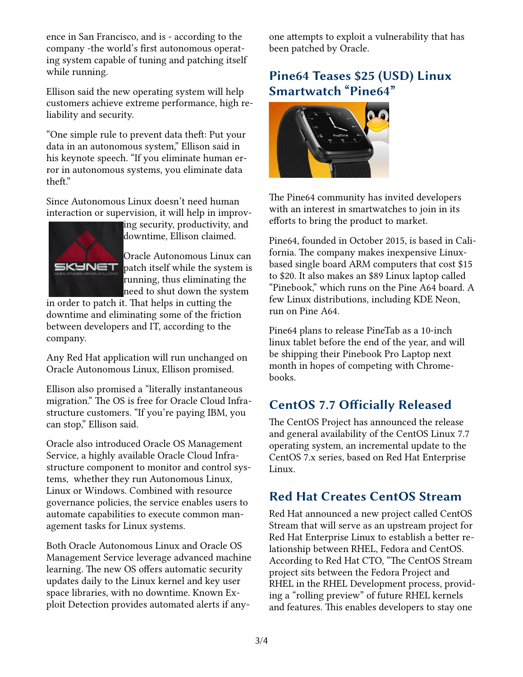ence in San Francisco, and is - according to the company -the world's first autonomous operating system capable of tuning and patching itself while running.

Ellison said the new operating system will help customers achieve extreme performance, high reliability and security.

"One simple rule to prevent data theft: Put your data in an autonomous system," Ellison said in his keynote speech. "If you eliminate human error in autonomous systems, you eliminate data theft."

Since Autonomous Linux doesn't need human interaction or supervision, it will help in improv-



ing security, productivity, and downtime, Ellison claimed.

Oracle Autonomous Linux can patch itself while the system is running, thus eliminating the need to shut down the system

in order to patch it. That helps in cutting the downtime and eliminating some of the friction between developers and IT, according to the company.

Any Red Hat application will run unchanged on Oracle Autonomous Linux, Ellison promised.

Ellison also promised a "literally instantaneous migration." The OS is free for Oracle Cloud Infrastructure customers. "If you're paying IBM, you can stop," Ellison said.

Oracle also introduced Oracle OS Management Service, a highly available Oracle Cloud Infrastructure component to monitor and control systems, whether they run Autonomous Linux, Linux or Windows. Combined with resource governance policies, the service enables users to automate capabilities to execute common management tasks for Linux systems.

Both Oracle Autonomous Linux and Oracle OS Management Service leverage advanced machine learning. The new OS offers automatic security updates daily to the Linux kernel and key user space libraries, with no downtime. Known Exploit Detection provides automated alerts if anyone attempts to exploit a vulnerability that has been patched by Oracle.

# **Pine64 Teases \$25 (USD) Linux Smartwatch "Pine64"**



The Pine64 community has invited developers with an interest in smartwatches to join in its efforts to bring the product to market.

Pine64, founded in October 2015, is based in California. The company makes inexpensive Linuxbased single board ARM computers that cost \$15 to \$20. It also makes an \$89 Linux laptop called "Pinebook," which runs on the Pine A64 board. A few Linux distributions, including KDE Neon, run on Pine A64.

Pine64 plans to release PineTab as a 10-inch linux tablet before the end of the year, and will be shipping their Pinebook Pro Laptop next month in hopes of competing with Chromebooks.

### **CentOS 7.7 Officially Released**

The CentOS Project has announced the release and general availability of the CentOS Linux 7.7 operating system, an incremental update to the CentOS 7.x series, based on Red Hat Enterprise Linux.

### **Red Hat Creates CentOS Stream**

Red Hat announced a new project called CentOS Stream that will serve as an upstream project for Red Hat Enterprise Linux to establish a better relationship between RHEL, Fedora and CentOS. According to Red Hat CTO, "The CentOS Stream project sits between the Fedora Project and RHEL in the RHEL Development process, providing a "rolling preview" of future RHEL kernels and features. This enables developers to stay one